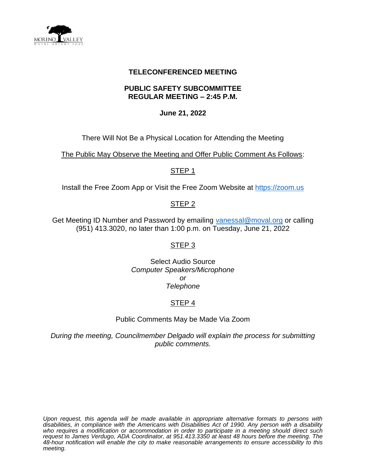

### **TELECONFERENCED MEETING**

### **PUBLIC SAFETY SUBCOMMITTEE REGULAR MEETING – 2:45 P.M.**

### **June 21, 2022**

There Will Not Be a Physical Location for Attending the Meeting

The Public May Observe the Meeting and Offer Public Comment As Follows:

#### STEP 1

Install the Free Zoom App or Visit the Free Zoom Website at [https://zoom.us](https://zoom.us/)

# STEP 2

Get Meeting ID Number and Password by emailing [vanessal@moval.org](mailto:vanessal@moval.org) or calling (951) 413.3020, no later than 1:00 p.m. on Tuesday, June 21, 2022

# STEP 3

Select Audio Source *Computer Speakers/Microphone or Telephone*

# STEP 4

Public Comments May be Made Via Zoom

*During the meeting, Councilmember Delgado will explain the process for submitting public comments.*

*Upon request, this agenda will be made available in appropriate alternative formats to persons with disabilities, in compliance with the Americans with Disabilities Act of 1990. Any person with a disability*  who requires a modification or accommodation in order to participate in a meeting should direct such *request to James Verdugo, ADA Coordinator, at 951.413.3350 at least 48 hours before the meeting. The 48-hour notification will enable the city to make reasonable arrangements to ensure accessibility to this meeting.*